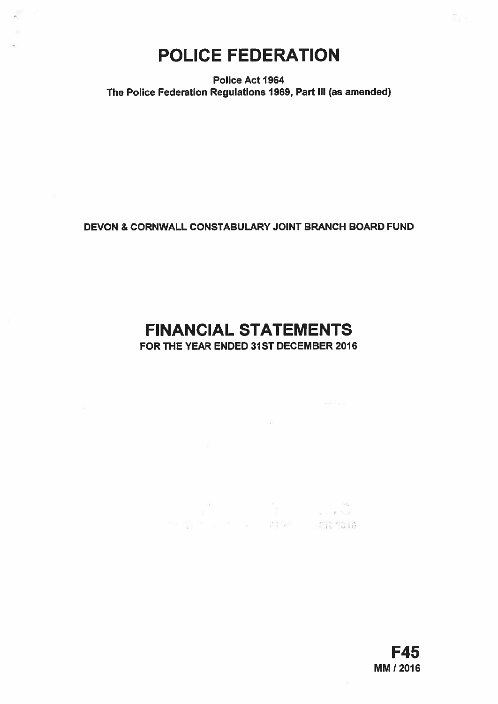# POLICE FEDERATION

Police Act 1964 The Police Federation Regulations 1969, Part Ill (as amended)

# DEVON & CORNWALL CONSTABULARY JOINT BRANCH BOARD FUND

# FINANCIAL STATEMENTS

FOR THE YEAR ENDED 31ST DECEMBER 2016

—

 $\sim 10$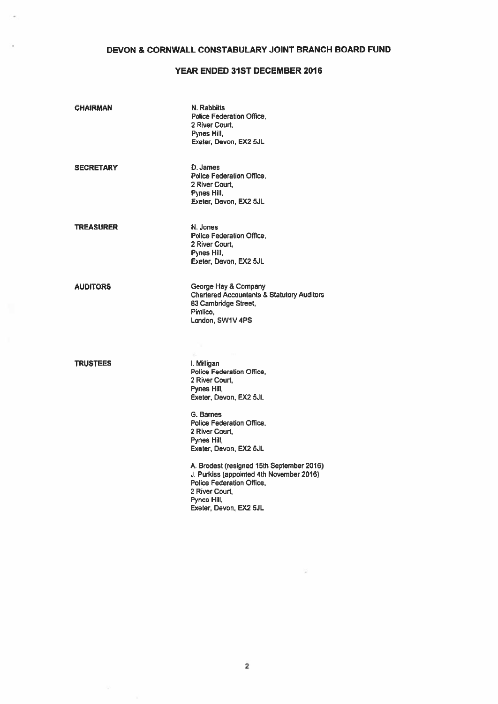## DEVON & CORNWALL CONSTABULARY JOINT BRANCH BOARD FUND

## YEAR ENDED 31ST DECEMBER 2016

| <b>CHAIRMAN</b>  | N. Rabbitts<br>Police Federation Office,<br>2 River Court,<br>Pynes Hill,<br>Exeter, Devon, EX2 5JL                                                                                                                                                                                                                                                                                       |
|------------------|-------------------------------------------------------------------------------------------------------------------------------------------------------------------------------------------------------------------------------------------------------------------------------------------------------------------------------------------------------------------------------------------|
| <b>SECRETARY</b> | D. James<br>Police Federation Office.<br>2 River Court.<br>Pynes Hill,<br>Exeter, Devon, EX2 5JL                                                                                                                                                                                                                                                                                          |
| <b>TREASURER</b> | N. Jones<br>Police Federation Office.<br>2 River Court,<br>Pynes Hill,<br>Exeter, Devon, EX2 5JL                                                                                                                                                                                                                                                                                          |
| <b>AUDITORS</b>  | George Hay & Company<br><b>Chartered Accountants &amp; Statutory Auditors</b><br>83 Cambridge Street,<br>Pimlico.<br>London, SW1V 4PS                                                                                                                                                                                                                                                     |
| <b>TRUSTEES</b>  | I. Milligan<br>Police Federation Office,<br>2 River Court,<br>Pynes Hill,<br>Exeter, Devon, EX2 5JL<br>G. Barnes<br>Police Federation Office.<br>2 River Court,<br>Pynes Hill,<br>Exeter, Devon, EX2 5JL<br>A. Brodest (resigned 15th September 2016)<br>J. Purkiss (appointed 4th November 2016)<br>Police Federation Office.<br>2 River Court,<br>Pynes Hill,<br>Exeter, Devon, EX2 5JL |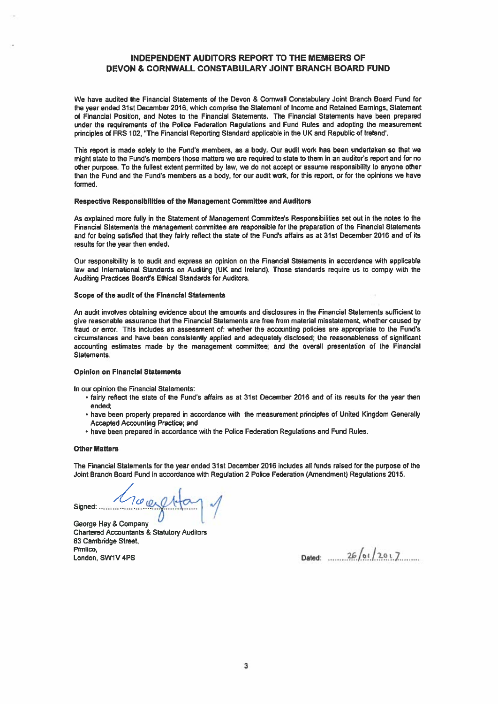## INDEPENDENT AUDITORS REPORT TO THE MEMBERS OF DEVON & CORNWALL CONSTABULARY JOINT BRANCH BOARD FUND

We have audited the Financial Statements of the Devon & Cornwall Constabulary Joint Branch Board Fund for the year ended 31st December 2015, which comprise the Statement of Income and Retained Earnings, Statement of Financial Position, and Notes to the Financial Statements. The Financial Statements have been prepared under the requirements of the Police Federation Regulations and Fund Rules and adopting the measurement principles of FRS 102, "The Financial Reporting Standard applicable in the UK and Republic of Ireland'.

This repor<sup>t</sup> is made solely to the Fund's members, as <sup>a</sup> body. Our audit work has been undertaken so that we might state to the Fund's members those matters we are required to state to them in an auditor's report and for no other purpose. To the fullest extent permitted by law, we do not accep<sup>t</sup> or assume responsibility to anyone other than the Fund and the Fund's members as <sup>a</sup> body, for our audit work, for this report, or for the opinions we have formed.

#### Respective Responsibilities of the Management Committee and Auditors

As explained more fully in the Statement of Management Committee's Responsibilities set out in the notes to the Financial Statements the managemen<sup>t</sup> committee are responsible for the preparation of the Financial Statements and for being satisfied that they fairly reflect the state of the Fund's affairs as at 31st December 2016 and of its results for the year then ended.

Our responsibility is to audit and express an opinion on the Financial Statements in accordance with applicable law and International Standards on Auditing (UK and Ireland). Those standards require us to comply with the Auditing Practices Board's Ethical Standards for Auditors.

#### Scope of the audit of the Financial Statements

An audit involves obtaining evidence about the amounts and disclosures in the Financial Statements sufficient to give reasonable assurance that the Financial Statements are free from material misstatement, whether caused by fraud or error. This includes an assessment of: whether the accounting policies are appropriate to the Fund's circumstances and have been consistently applied and adequately disclosed; the reasonableness of significant accounting estimates made by the managemen<sup>t</sup> committee; and the overall presentation of the Financial Statements.

#### Opinion on Financial Statements

In our opinion the Financial Statements:

- fairly reflect the state of the Fund's affairs as at 31st December 2016 and of its results for the year then ended;
- have been properly prepared in accordance with the measurement principles of United Kingdom Generally Accepted Accounting Practice; and
- have been prepared in accordance with the Police Federation Regulations and Fund Rules.

#### Other Matters

The Financial Statements for the year ended 31st December 2016 includes all funds raised for the purpose of the Joint Branch Board Fund in accordance with Regulation 2 Police Federation (Amendment) Regulations 2015.

signed: Moodlea

George Hay & Company Chartered Accountants & Statutory Auditors 63 Cambridge Street, Pimlico, / <sup>g</sup> London, SWIV4PS Dated ./.129S.7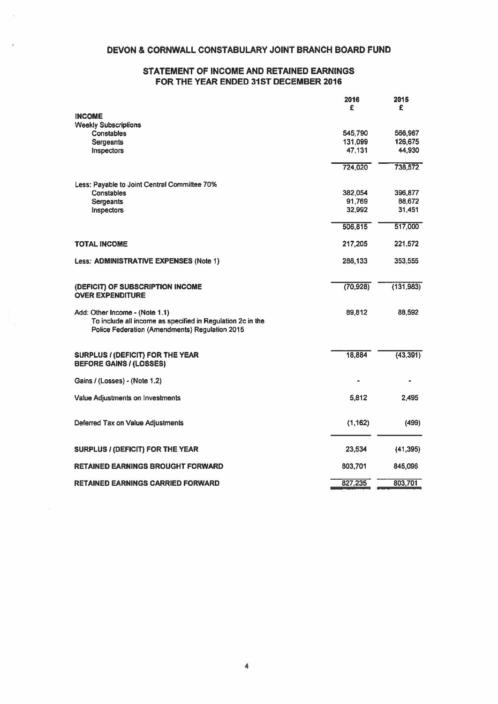## DEVON & CORNWALL CONSTABULARY JOINT BRANCH BOARD FUND

## STATEMENT OF INCOME AND RETAINED EARNINGS FOR THE YEAR ENDED 31ST DECEMBER 2016

|                                                                                                                                                | 2016      | 2015       |
|------------------------------------------------------------------------------------------------------------------------------------------------|-----------|------------|
|                                                                                                                                                | £         | £          |
| <b>INCOME</b><br><b>Weekly Subscriptions</b>                                                                                                   |           |            |
| <b>Constables</b>                                                                                                                              | 545,790   | 566,967    |
| Sergeants                                                                                                                                      | 131,099   | 126,675    |
| Inspectors                                                                                                                                     | 47,131    | 44,930     |
|                                                                                                                                                | 724,020   | 738,572    |
| Less: Payable to Joint Central Committee 70%                                                                                                   |           |            |
| Constables                                                                                                                                     | 382,054   | 396,877    |
| Sergeants                                                                                                                                      | 91,769    | 88,672     |
| Inspectors                                                                                                                                     | 32,992    | 31,451     |
|                                                                                                                                                | 506,815   | 517,000    |
| <b>TOTAL INCOME</b>                                                                                                                            | 217,205   | 221,572    |
| Less: ADMINISTRATIVE EXPENSES (Note 1)                                                                                                         | 288,133   | 353,555    |
| (DEFICIT) OF SUBSCRIPTION INCOME<br><b>OVER EXPENDITURE</b>                                                                                    | (70, 928) | (131, 983) |
| Add: Other Income - (Note 1.1)<br>To include all income as specified in Regulation 2c in the<br>Police Federation (Amendments) Regulation 2015 | 89,812    | 88,592     |
| <b>SURPLUS / (DEFICIT) FOR THE YEAR</b><br><b>BEFORE GAINS / (LOSSES)</b>                                                                      | 18,884    | (43, 391)  |
| Gains / (Losses) - (Note 1.2)                                                                                                                  |           |            |
| Value Adjustments on Investments                                                                                                               | 5,812     | 2,495      |
| Deferred Tax on Value Adjustments                                                                                                              | (1, 162)  | (499)      |
| SURPLUS / (DEFICIT) FOR THE YEAR                                                                                                               | 23,534    | (41, 395)  |
| <b>RETAINED EARNINGS BROUGHT FORWARD</b>                                                                                                       | 803,701   | 845,096    |
| <b>RETAINED EARNINGS CARRIED FORWARD</b>                                                                                                       | 827,235   | 803,701    |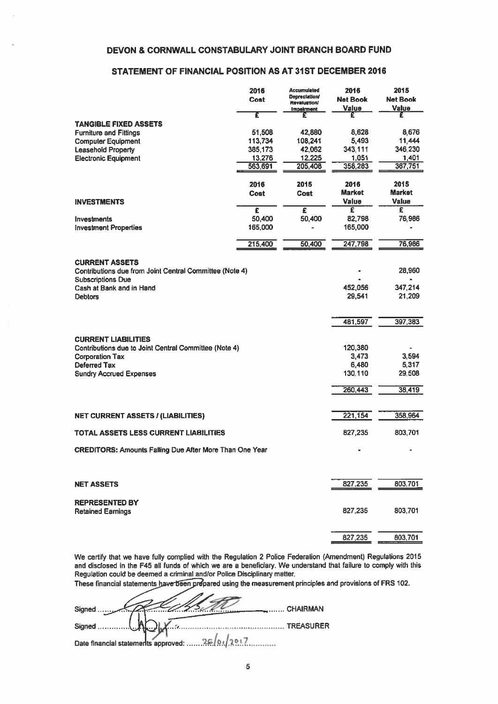## DEVON & CORNWALL CONSTABULARY JOINT BRANCH BOARD FUND

## STATEMENT OF FINANCIAL POSITION AS AT 31ST DECEMBER 2016

| <b>DEVON &amp; CORNWALL CONSTABULARY JOINT BRANCH BOARD FUND</b>                                             |                       |                                                                                        |                                       |                                  |
|--------------------------------------------------------------------------------------------------------------|-----------------------|----------------------------------------------------------------------------------------|---------------------------------------|----------------------------------|
| STATEMENT OF FINANCIAL POSITION AS AT 31ST DECEMBER 2016                                                     |                       |                                                                                        |                                       |                                  |
|                                                                                                              | 2016<br><b>Cost</b>   | <b>Accumulated</b><br><b>Depreciation/</b><br><b>Revaluation!</b><br><b>Impairment</b> | 2016<br><b>Net Book</b><br>Value      | 2015<br><b>Net Book</b><br>Value |
| <b>TANGIBLE FIXED ASSETS</b>                                                                                 | Ŧ                     | £                                                                                      | £                                     | £                                |
| <b>Furniture and Fittings</b>                                                                                | 51,508                | 42,880                                                                                 | 8,628                                 | 8,676                            |
| <b>Computer Equipment</b><br><b>Leasehold Property</b>                                                       | 113,734<br>385,173    | 108,241<br>42,062                                                                      | 5,493<br>343,111                      | 11,444<br>346,230                |
| <b>Electronic Equipment</b>                                                                                  | 13,276                | 12,225                                                                                 | 1,051                                 | 1,401                            |
|                                                                                                              | 563,691               | 205,408                                                                                | 358,283                               | 367,751                          |
| <b>INVESTMENTS</b>                                                                                           | 2016<br><b>Cost</b>   | 2015<br>Cost                                                                           | 2016<br><b>Market</b><br><b>Value</b> | 2015<br><b>Market</b><br>Value   |
|                                                                                                              | $\overline{\epsilon}$ | $\overline{\epsilon}$                                                                  | £                                     | £                                |
| Investments<br><b>Investment Properties</b>                                                                  | 50,400<br>165,000     | 50,400                                                                                 | 82,798<br>165,000                     | 76,986                           |
|                                                                                                              | 215,400               | 50,400                                                                                 | 247,798                               | 76,986                           |
| <b>CURRENT ASSETS</b><br>Contributions due from Joint Central Committee (Note 4)<br><b>Subscriptions Due</b> |                       |                                                                                        |                                       | 28,960                           |
| Cash at Bank and in Hand                                                                                     |                       |                                                                                        | 452,056                               | 347,214                          |
| <b>Debtors</b>                                                                                               |                       |                                                                                        | 29,541                                | 21,209                           |
|                                                                                                              |                       |                                                                                        | 481,597                               | 397,383                          |
| <b>CURRENT LIABILITIES</b><br>Contributions due to Joint Central Committee (Note 4)                          |                       |                                                                                        | 120,380                               |                                  |
| <b>Corporation Tax</b>                                                                                       |                       |                                                                                        | 3,473                                 | 3,594                            |
| Deferred Tax                                                                                                 |                       |                                                                                        | 6,480                                 | 5,317                            |
| <b>Sundry Accrued Expenses</b>                                                                               |                       |                                                                                        | 130,110                               | 29,508                           |
|                                                                                                              |                       |                                                                                        | 260,443                               | 38,419                           |
| <b>NET CURRENT ASSETS / (LIABILITIES)</b>                                                                    |                       |                                                                                        | 221,154                               | 358,964                          |
| <b>TOTAL ASSETS LESS CURRENT LIABILITIES</b>                                                                 |                       |                                                                                        | 827,235                               | 803,701                          |
| <b>CREDITORS: Amounts Falling Due After More Than One Year</b>                                               |                       |                                                                                        |                                       |                                  |
|                                                                                                              |                       |                                                                                        |                                       |                                  |
| <b>NET ASSETS</b>                                                                                            |                       |                                                                                        | 827,235                               | 803,701                          |
| <b>REPRESENTED BY</b><br><b>Retained Earnings</b>                                                            |                       |                                                                                        | 827,235                               | 803,701                          |
|                                                                                                              |                       |                                                                                        | 827,235                               | 803,701                          |

We certify that we have fully complied with the Regulation 2 Police Federation (Amendment) Regulations 2015 and disclosed in the F45 all funds of which we are <sup>a</sup> beneficiary. We understand that failure to comply with this Regulation could be deemed <sup>a</sup> criminal and/or Police Disciplinary matter.

These financial statements have been prepared using the measurement principles and provisions of FRS 102.

| Signed                                          |  |
|-------------------------------------------------|--|
| Signed $\mathcal{N}$<br>TREASURER               |  |
| Date financial statements approved:  26/01/2017 |  |

 $\overline{\phantom{a}}$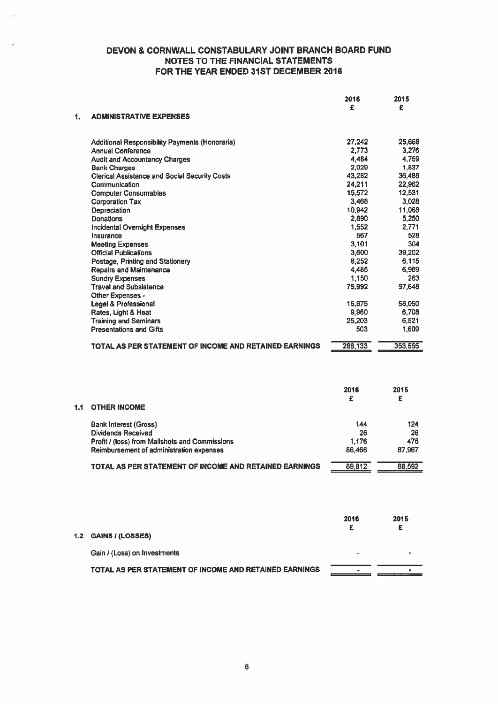|     |                                                        | 2016    | 2015    |
|-----|--------------------------------------------------------|---------|---------|
|     |                                                        | £       | £       |
| 1.  | <b>ADMINISTRATIVE EXPENSES</b>                         |         |         |
|     | Additional Responsibility Payments (Honoraria)         | 27,242  | 25,668  |
|     | <b>Annual Conference</b>                               | 2.773   | 3.276   |
|     | <b>Audit and Accountancy Charges</b>                   | 4,484   | 4,759   |
|     | <b>Bank Charges</b>                                    | 2,029   | 1,837   |
|     | <b>Clerical Assistance and Social Security Costs</b>   | 43,282  | 36,488  |
|     | Communication                                          | 24,211  | 22,962  |
|     | <b>Computer Consumables</b>                            | 15,572  | 12,531  |
|     | <b>Corporation Tax</b>                                 | 3,468   | 3.028   |
|     | Depreciation                                           | 10,942  | 11,068  |
|     | Donations                                              | 2,890   | 5,250   |
|     | <b>Incidental Overnight Expenses</b>                   | 1,552   | 2.771   |
|     | Insurance                                              | 567     | 528     |
|     | <b>Meeting Expenses</b>                                | 3.101   | 304     |
|     | <b>Official Publications</b>                           | 3,600   | 39,202  |
|     | Postage, Printing and Stationery                       | 8,252   | 6,115   |
|     | <b>Repairs and Maintenance</b>                         | 4,485   | 6,969   |
|     | <b>Sundry Expenses</b>                                 | 1,150   | 263     |
|     | <b>Travel and Subsistence</b>                          | 75,992  | 97,648  |
|     | Other Expenses -                                       |         |         |
|     | <b>Legal &amp; Professional</b>                        | 16,875  | 58,050  |
|     | Rates, Light & Heat                                    | 9,960   | 6.708   |
|     | <b>Training and Seminars</b>                           | 25,203  | 6,521   |
|     | <b>Presentations and Gifts</b>                         | 503     | 1,609   |
|     |                                                        |         |         |
|     | TOTAL AS PER STATEMENT OF INCOME AND RETAINED EARNINGS | 288,133 | 353,555 |
|     |                                                        |         |         |
|     |                                                        | 2016    | 2015    |
|     |                                                        | £       | £       |
| 1.1 | <b>OTHER INCOME</b>                                    |         |         |
|     | <b>Bank Interest (Gross)</b>                           | 144     | 124     |
|     | <b>Dividends Received</b>                              | 26      | 26      |
|     | Profit / (loss) from Mailshots and Commissions         | 1.176   | 475     |
|     | Reimbursement of administration expenses               | 88,466  | 87,967  |
|     |                                                        |         |         |
|     | TOTAL AS PER STATEMENT OF INCOME AND RETAINED EARNINGS | 89,812  | 88,592  |
|     |                                                        |         |         |
|     |                                                        | 2016    | 2015    |
|     |                                                        | £       | £       |

| 1.2 GAINS / (LOSSES)                                   |   |  |
|--------------------------------------------------------|---|--|
| Gain / (Loss) on Investments                           | ۰ |  |
| TOTAL AS PER STATEMENT OF INCOME AND RETAINED EARNINGS |   |  |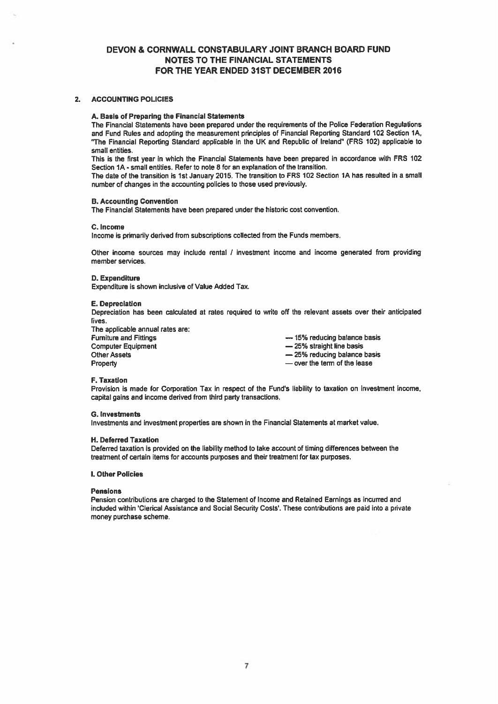#### 2. ACCOUNTING POLICIES

#### A. Basis of Preparing the Financial Statements

The Financial Statements have been prepared under the requirements of the Police Federation Regulations and Fund Rules and adopting the measurement principles of Financial Reporting Standard 102 Section 1A, "The Financial Reporting Standard applicable in the UK and Republic of Ireland" (FRS 102) applicable to small entities.

This is the first year in which the Financial Statements have been prepared in accordance with FRS 102 Section IA -small entities. Refer to note 8 for an explanation of the transition.

The date of the transition is 1st January 2015. The transition to FRS 102 Section 1A has resulted in <sup>a</sup> small number of changes in the accounting policies to those used previously.

#### B. Accounting Convention

The Financial Statements have been prepared under the historic cost convention.

#### C. Income

Income is primarily derived from subscriptions collected from the Funds members.

Other income sources may include rental / investment income and income generated from providing member services.

#### D. Expenditure

Expenditure is shown inclusive of Value Added Tax.

#### **E.** Depreciation

Depreciation has been calculated at rates required to write off the relevant assets over their anticipated lives.

The applicable annual rates are: Furniture and Fittings<br>
Computer Equipment<br>
Computer Equipment<br>
Computer Equipment **Computer Equipment**<br>
Other Assets Property **Example 2** Property — over the term of the lease

 $-$  25% reducing balance basis

#### F. Taxation

Provision is made for Corporation Tax in respect of the Fund's liability to taxation on investment income, capital gains and income derived from third party transactions.

#### 0. Investments

Investments and investment properties are shown in the Financial Statements at market value.

#### H. Deferred Taxation

Deferred taxation is provided on the liability method to take account of timing differences between the treatment of certain items for accounts purposes and their treatment for tax purposes.

#### I. Other Policies

#### Pensions

Pension contributions are charged to the Statement of Income and Retained Earnings as incurred and included within 'Clerical Assistance and Social Security Costs'. These contributions are paid into <sup>a</sup> private money purchase scheme.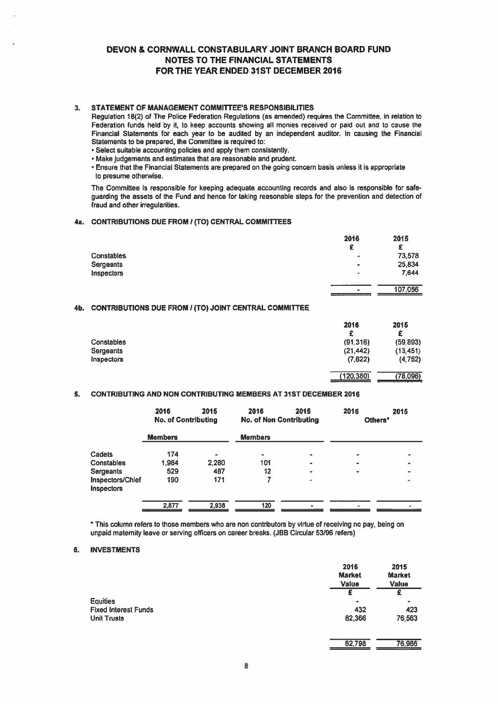## 3. STATEMENT OF MANAGEMENT COMMITTEE'S RESPONSIBILITIES

- Select suitable accounting policies and apply them consistently.
- Make judgements and estimates that are reasonable and prudent.
- Ensure that the Financial Statements are prepared on the going concern basis unless it is appropriate to presume otherwise.

#### 4a. CONTRIBUTIONS DUE FROM I (TO) CENTRAL COMMITTEES

|                  | 2016                     | 2015    |
|------------------|--------------------------|---------|
|                  | £                        | £       |
| Constables       | $\overline{\phantom{a}}$ | 73,578  |
| <b>Sergeants</b> | $\bullet$                | 25,834  |
| Inspectors       | ٠                        | 7.644   |
|                  | ٠                        | 107,056 |

## 4b. CONTRIBUTIONS DUE FROM / (TO) JOINT CENTRAL COMMITTEE

| DEVON & CORNWALL CONSTABULARY JOINT BRANCH BOARD FUND                                                                                                                                                                                                                                                                                                                                                                                                                                                                                                                                                                                                                                                                     | <b>NOTES TO THE FINANCIAL STATEMENTS</b><br>FOR THE YEAR ENDED 31ST DECEMBER 2016 |                                                |                                                |
|---------------------------------------------------------------------------------------------------------------------------------------------------------------------------------------------------------------------------------------------------------------------------------------------------------------------------------------------------------------------------------------------------------------------------------------------------------------------------------------------------------------------------------------------------------------------------------------------------------------------------------------------------------------------------------------------------------------------------|-----------------------------------------------------------------------------------|------------------------------------------------|------------------------------------------------|
| STATEMENT OF MANAGEMENT COMMITTEE'S RESPONSIBILITIES<br>Regulation 18(2) of The Police Federation Regulations (as amended) requires the Committee, in relation to<br>Federation funds held by it, to keep accounts showing all monies received or paid out and to cause the<br>Financial Statements for each year to be audited by an independent auditor. In causing the Financial<br>Statements to be prepared, the Committee is required to:<br>· Select suitable accounting policies and apply them consistently.<br>Make judgements and estimates that are reasonable and prudent.<br>Ensure that the Financial Statements are prepared on the going concern basis unless it is appropriate<br>to presume otherwise. |                                                                                   |                                                |                                                |
| The Committee is responsible for keeping adequate accounting records and also is responsible for safe-<br>guarding the assets of the Fund and hence for taking reasonable steps for the prevention and detection of<br>fraud and other irregularities.                                                                                                                                                                                                                                                                                                                                                                                                                                                                    |                                                                                   |                                                |                                                |
| CONTRIBUTIONS DUE FROM / (TO) CENTRAL COMMITTEES                                                                                                                                                                                                                                                                                                                                                                                                                                                                                                                                                                                                                                                                          |                                                                                   |                                                |                                                |
| Constables<br><b>Sergeants</b><br>Inspectors                                                                                                                                                                                                                                                                                                                                                                                                                                                                                                                                                                                                                                                                              |                                                                                   | 2016<br>£                                      | 2015<br>£<br>73,578<br>25,834<br>7.644         |
|                                                                                                                                                                                                                                                                                                                                                                                                                                                                                                                                                                                                                                                                                                                           |                                                                                   |                                                | 107,056                                        |
| CONTRIBUTIONS DUE FROM / (TO) JOINT CENTRAL COMMITTEE                                                                                                                                                                                                                                                                                                                                                                                                                                                                                                                                                                                                                                                                     |                                                                                   |                                                |                                                |
| Constables<br>Sergeants<br><b>Inspectors</b>                                                                                                                                                                                                                                                                                                                                                                                                                                                                                                                                                                                                                                                                              |                                                                                   | 2016<br>£<br>(91, 316)<br>(21, 442)<br>(7,622) | 2015<br>£<br>(59.893)<br>(13, 451)<br>(4, 752) |
|                                                                                                                                                                                                                                                                                                                                                                                                                                                                                                                                                                                                                                                                                                                           |                                                                                   | (120,380)                                      | (78,096)                                       |
| CONTRIBUTING AND NON CONTRIBUTING MEMBERS AT 31ST DECEMBER 2016                                                                                                                                                                                                                                                                                                                                                                                                                                                                                                                                                                                                                                                           |                                                                                   |                                                |                                                |
| 2016<br>2015<br><b>No. of Contributing</b>                                                                                                                                                                                                                                                                                                                                                                                                                                                                                                                                                                                                                                                                                | 2016<br>2015<br><b>No. of Non Contributing</b>                                    | 2016<br>Others <sup>*</sup>                    | 2015                                           |
| <b>Members</b>                                                                                                                                                                                                                                                                                                                                                                                                                                                                                                                                                                                                                                                                                                            | <b>Members</b>                                                                    |                                                |                                                |

#### S. CONTRIBUTING AND NON CONTRIBUTING MEMBERS AT 31ST DECEMBER 2016

|                                | 2016<br><b>No. of Contributing</b> | 2015  | 2016<br><b>No. of Non Contributing</b> | 2015                     | 2016<br>Others* | 2015                     |
|--------------------------------|------------------------------------|-------|----------------------------------------|--------------------------|-----------------|--------------------------|
|                                | <b>Members</b>                     |       | <b>Members</b>                         |                          |                 |                          |
| Cadets                         | 174                                |       | $\blacksquare$                         | $\bullet$                | $\bullet$       |                          |
| Constables                     | 1,984                              | 2,280 | 101                                    | $\bullet$                | $\bullet$       |                          |
| Sergeants                      | 529                                | 487   | 12                                     | ۰                        | $\bullet$       |                          |
| Inspectors/Chief<br>Inspectors | 190                                | 171   |                                        | $\overline{\phantom{a}}$ |                 | $\overline{\phantom{a}}$ |
|                                | 2,877                              | 2,938 | 120                                    |                          |                 |                          |

\* This column refers to those members who are non contributors by virtue of receiving no pay, being on unpaid maternity leave or serving officers on career breaks. (JBB Circular 53/96 refers)

#### 6. INVESTMENTS

|                             | 2016<br><b>Market</b><br>Value | 2015<br><b>Market</b><br>Value |
|-----------------------------|--------------------------------|--------------------------------|
|                             | £                              | £                              |
| Equities                    | ۰                              |                                |
| <b>Fixed Interest Funds</b> | 432                            | 423                            |
| Unit Trusts                 | 82,366                         | 76,563                         |
|                             | 82,798                         | 76,986                         |